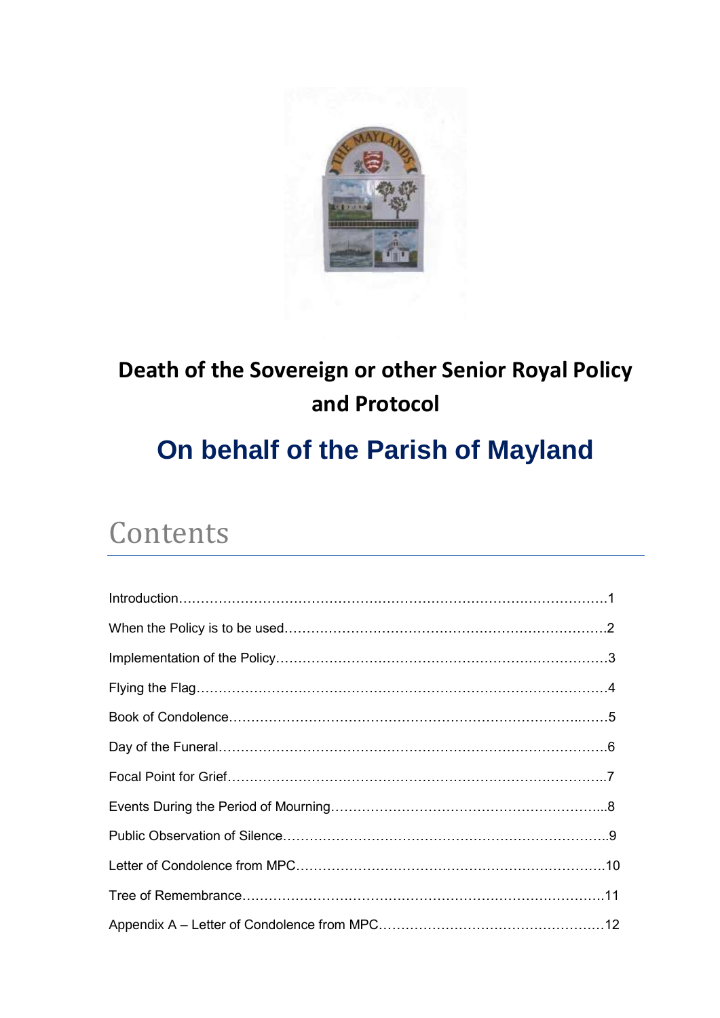

# **Death of the Sovereign or other Senior Royal Policy and Protocol**

# **On behalf of the Parish of Mayland**

# Contents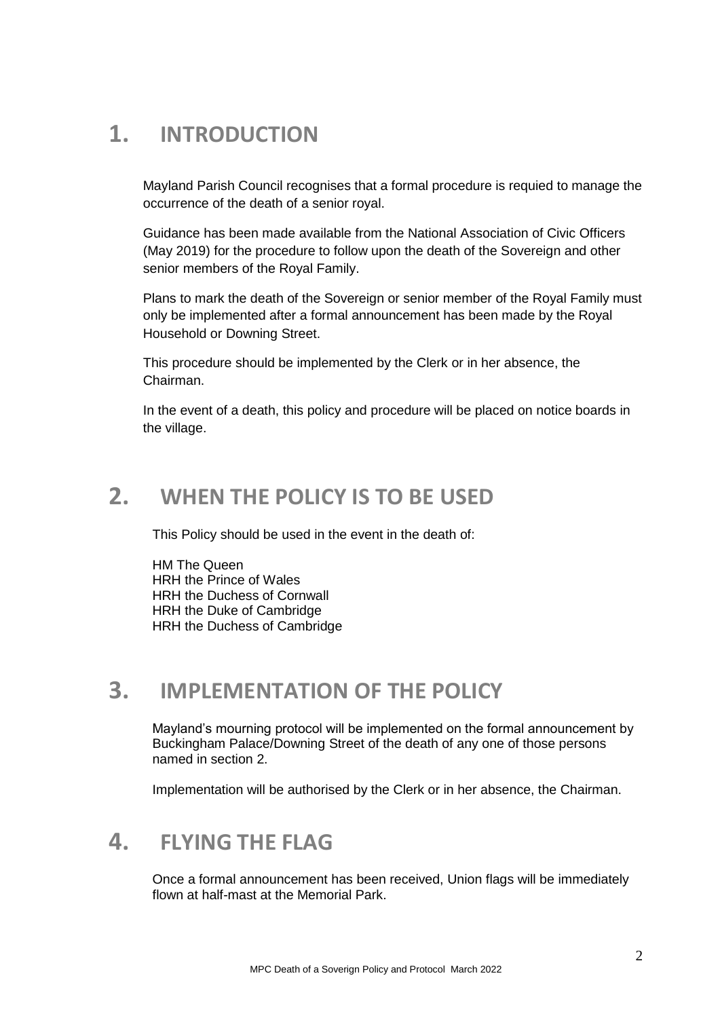# **1. INTRODUCTION**

Mayland Parish Council recognises that a formal procedure is requied to manage the occurrence of the death of a senior royal.

Guidance has been made available from the National Association of Civic Officers (May 2019) for the procedure to follow upon the death of the Sovereign and other senior members of the Royal Family.

Plans to mark the death of the Sovereign or senior member of the Royal Family must only be implemented after a formal announcement has been made by the Royal Household or Downing Street.

This procedure should be implemented by the Clerk or in her absence, the Chairman.

In the event of a death, this policy and procedure will be placed on notice boards in the village.

### **2. WHEN THE POLICY IS TO BE USED**

This Policy should be used in the event in the death of:

**HM The Queen** HRH the Prince of Wales HRH the Duchess of Cornwall HRH the Duke of Cambridge HRH the Duchess of Cambridge

### **3. IMPLEMENTATION OF THE POLICY**

Mayland's mourning protocol will be implemented on the formal announcement by Buckingham Palace/Downing Street of the death of any one of those persons named in section 2.

Implementation will be authorised by the Clerk or in her absence, the Chairman.

# **4. FLYING THE FLAG**

Once a formal announcement has been received, Union flags will be immediately flown at half-mast at the Memorial Park.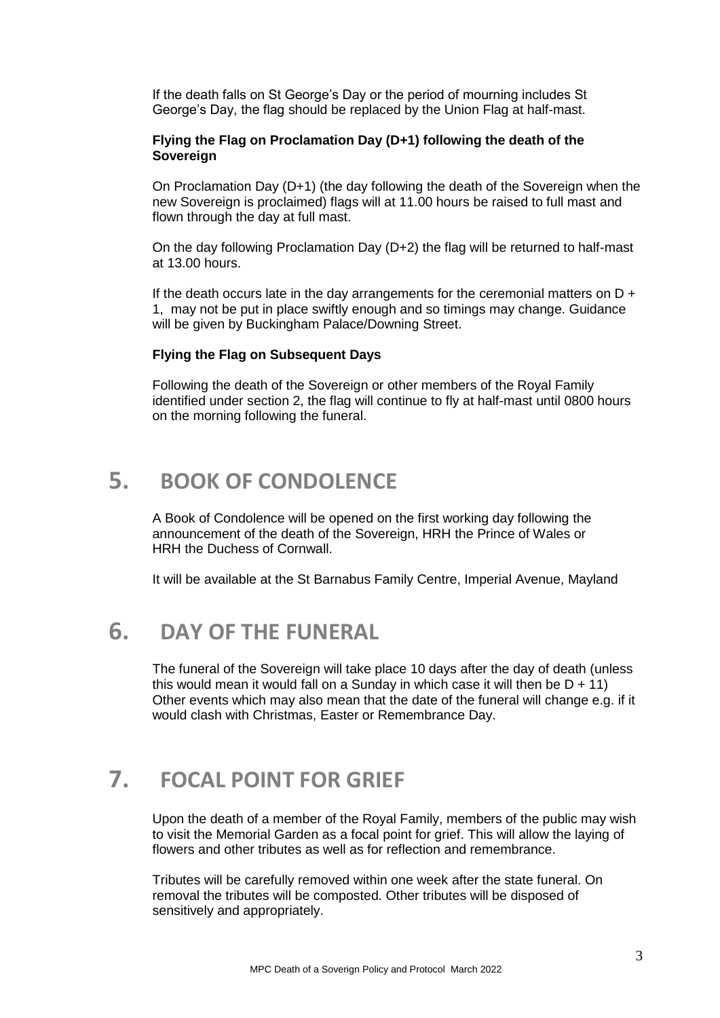If the death falls on St George's Day or the period of mourning includes St George's Day, the flag should be replaced by the Union Flag at half-mast.

#### **Flying the Flag on Proclamation Day (D+1) following the death of the Sovereign**

On Proclamation Day (D+1) (the day following the death of the Sovereign when the new Sovereign is proclaimed) flags will at 11.00 hours be raised to full mast and flown through the day at full mast.

On the day following Proclamation Day (D+2) the flag will be returned to half-mast at 13.00 hours.

If the death occurs late in the day arrangements for the ceremonial matters on  $D +$ 1, may not be put in place swiftly enough and so timings may change. Guidance will be given by Buckingham Palace/Downing Street.

#### **Flying the Flag on Subsequent Days**

Following the death of the Sovereign or other members of the Royal Family identified under section 2, the flag will continue to fly at half-mast until 0800 hours on the morning following the funeral.

## **5. BOOK OF CONDOLENCE**

A Book of Condolence will be opened on the first working day following the announcement of the death of the Sovereign, HRH the Prince of Wales or HRH the Duchess of Cornwall.

It will be available at the St Barnabus Family Centre, Imperial Avenue, Mayland

#### **6. DAY OF THE FUNERAL**

The funeral of the Sovereign will take place 10 days after the day of death (unless this would mean it would fall on a Sunday in which case it will then be  $D + 11$ ) Other events which may also mean that the date of the funeral will change e.g. if it would clash with Christmas, Easter or Remembrance Day.

### **7. FOCAL POINT FOR GRIEF**

Upon the death of a member of the Royal Family, members of the public may wish to visit the Memorial Garden as a focal point for grief. This will allow the laying of flowers and other tributes as well as for reflection and remembrance.

Tributes will be carefully removed within one week after the state funeral. On removal the tributes will be composted. Other tributes will be disposed of sensitively and appropriately.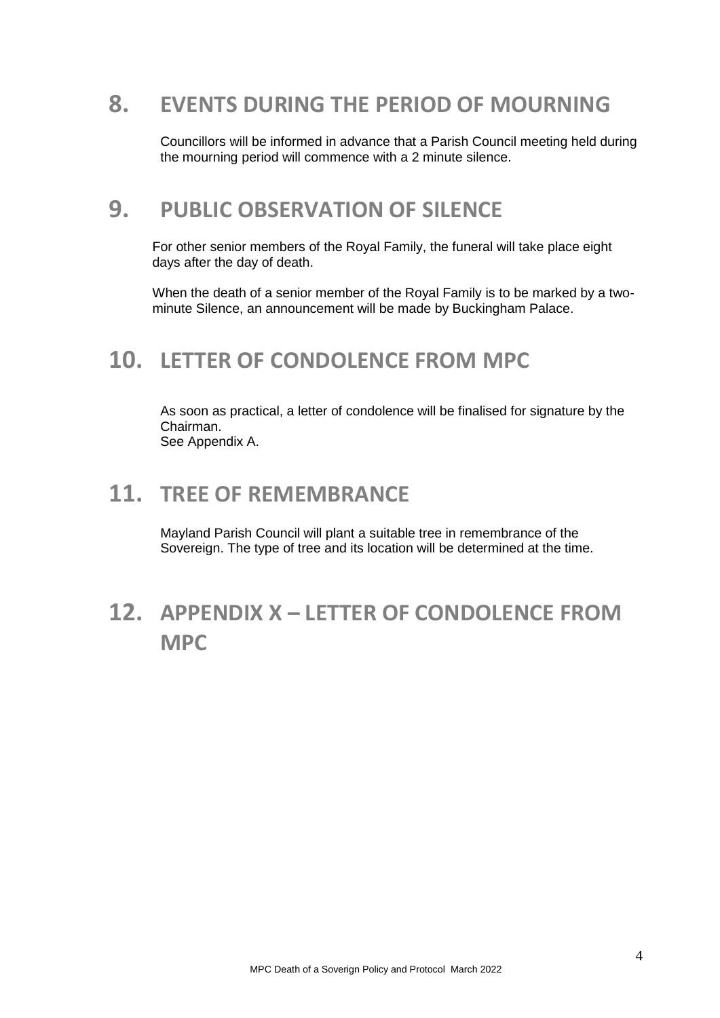## **8. EVENTS DURING THE PERIOD OF MOURNING**

Councillors will be informed in advance that a Parish Council meeting held during the mourning period will commence with a 2 minute silence.

#### **9. PUBLIC OBSERVATION OF SILENCE**

For other senior members of the Royal Family, the funeral will take place eight days after the day of death.

When the death of a senior member of the Royal Family is to be marked by a twominute Silence, an announcement will be made by Buckingham Palace.

## **10. LETTER OF CONDOLENCE FROM MPC**

As soon as practical, a letter of condolence will be finalised for signature by the Chairman. See Appendix A.

#### **11. TREE OF REMEMBRANCE**

Mayland Parish Council will plant a suitable tree in remembrance of the Sovereign. The type of tree and its location will be determined at the time.

# **12. APPENDIX X – LETTER OF CONDOLENCE FROM MPC**